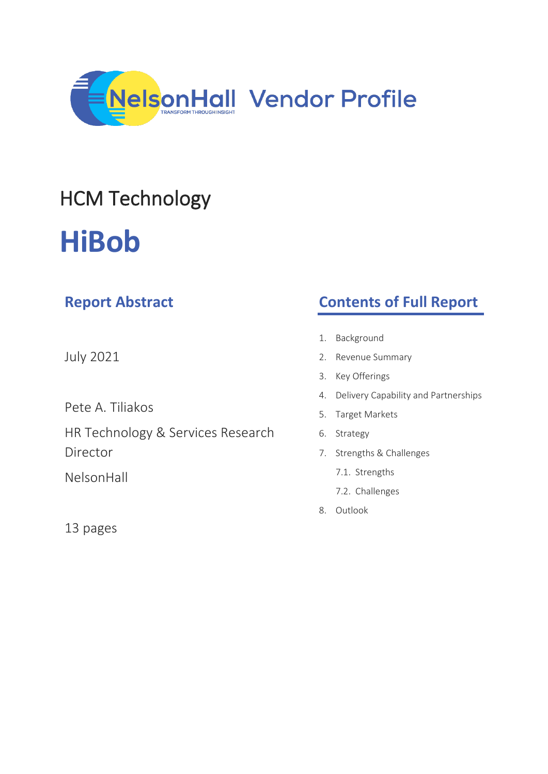

# HCM Technology

# **HiBob**

| <b>Report Abstract</b>            | <b>Contents of Full Report</b>          |
|-----------------------------------|-----------------------------------------|
|                                   | Background<br>1.                        |
| July 2021                         | 2. Revenue Summary                      |
|                                   | Key Offerings<br>3.                     |
| Pete A. Tiliakos                  | 4. Delivery Capability and Partnerships |
|                                   | Target Markets<br>5.                    |
| HR Technology & Services Research | 6. Strategy                             |
| Director                          | 7. Strengths & Challenges               |
| NelsonHall                        | 7.1. Strengths                          |
|                                   | 7.2. Challenges                         |
|                                   | Outlook<br>8.                           |

13 pages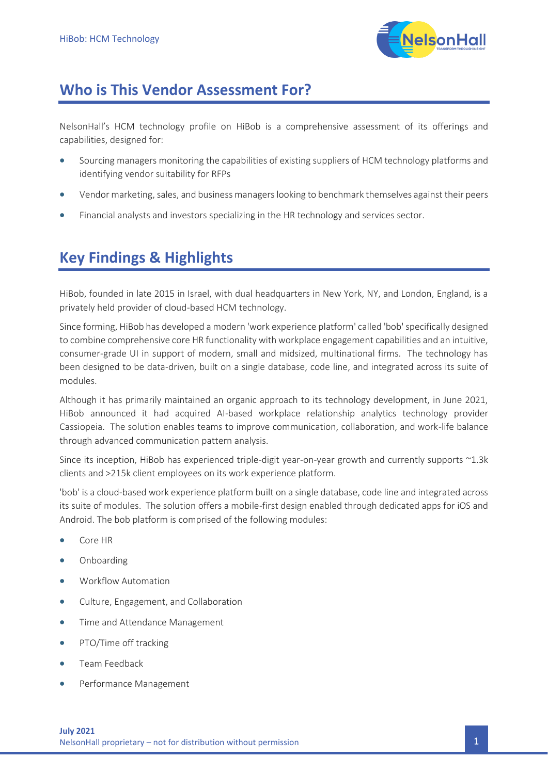

## **Who is This Vendor Assessment For?**

NelsonHall's HCM technology profile on HiBob is a comprehensive assessment of its offerings and capabilities, designed for:

- Sourcing managers monitoring the capabilities of existing suppliers of HCM technology platforms and identifying vendor suitability for RFPs
- Vendor marketing, sales, and business managers looking to benchmark themselves against their peers
- Financial analysts and investors specializing in the HR technology and services sector.

## **Key Findings & Highlights**

HiBob, founded in late 2015 in Israel, with dual headquarters in New York, NY, and London, England, is a privately held provider of cloud-based HCM technology.

Since forming, HiBob has developed a modern 'work experience platform' called 'bob' specifically designed to combine comprehensive core HR functionality with workplace engagement capabilities and an intuitive, consumer-grade UI in support of modern, small and midsized, multinational firms. The technology has been designed to be data-driven, built on a single database, code line, and integrated across its suite of modules.

Although it has primarily maintained an organic approach to its technology development, in June 2021, HiBob announced it had acquired AI-based workplace relationship analytics technology provider Cassiopeia. The solution enables teams to improve communication, collaboration, and work-life balance through advanced communication pattern analysis.

Since its inception, HiBob has experienced triple-digit year-on-year growth and currently supports ~1.3k clients and >215k client employees on its work experience platform.

'bob' is a cloud-based work experience platform built on a single database, code line and integrated across its suite of modules. The solution offers a mobile-first design enabled through dedicated apps for iOS and Android. The bob platform is comprised of the following modules:

- Core HR
- Onboarding
- Workflow Automation
- Culture, Engagement, and Collaboration
- Time and Attendance Management
- PTO/Time off tracking
- Team Feedback
- Performance Management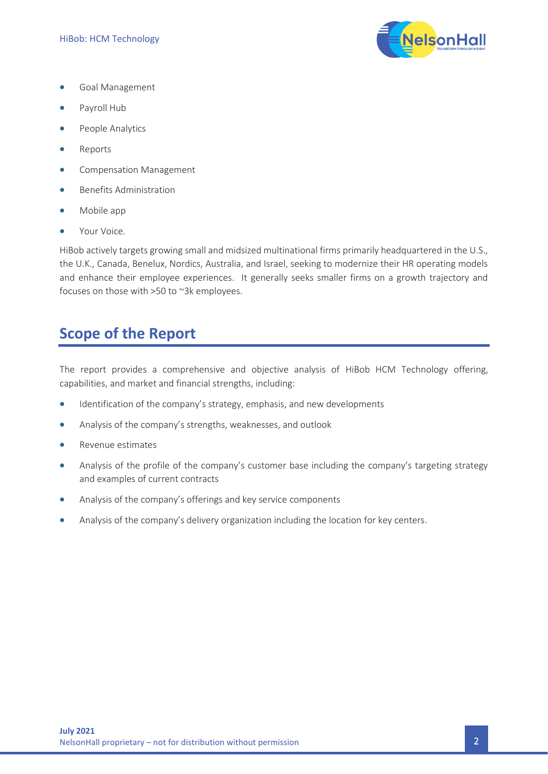

- Goal Management
- Payroll Hub
- People Analytics
- Reports
- Compensation Management
- Benefits Administration
- Mobile app
- Your Voice.

HiBob actively targets growing small and midsized multinational firms primarily headquartered in the U.S., the U.K., Canada, Benelux, Nordics, Australia, and Israel, seeking to modernize their HR operating models and enhance their employee experiences. It generally seeks smaller firms on a growth trajectory and focuses on those with >50 to ~3k employees.

## **Scope of the Report**

The report provides a comprehensive and objective analysis of HiBob HCM Technology offering, capabilities, and market and financial strengths, including:

- Identification of the company's strategy, emphasis, and new developments
- Analysis of the company's strengths, weaknesses, and outlook
- Revenue estimates
- Analysis of the profile of the company's customer base including the company's targeting strategy and examples of current contracts
- Analysis of the company's offerings and key service components
- Analysis of the company's delivery organization including the location for key centers.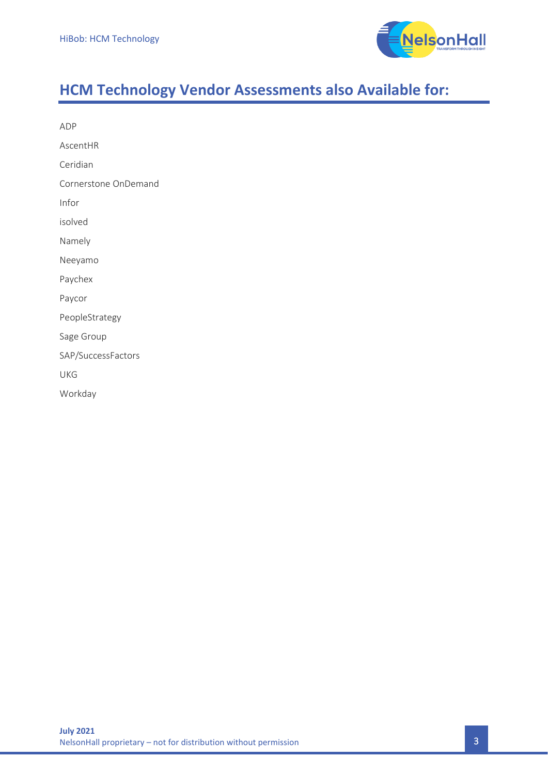

# **HCM Technology Vendor Assessments also Available for:**

| ADP                  |
|----------------------|
| AscentHR             |
| Ceridian             |
| Cornerstone OnDemand |
| Infor                |
| isolved              |
| Namely               |
| Neeyamo              |
| Paychex              |
| Paycor               |
| PeopleStrategy       |
| Sage Group           |
| SAP/SuccessFactors   |
| UKG                  |
| Workday              |
|                      |